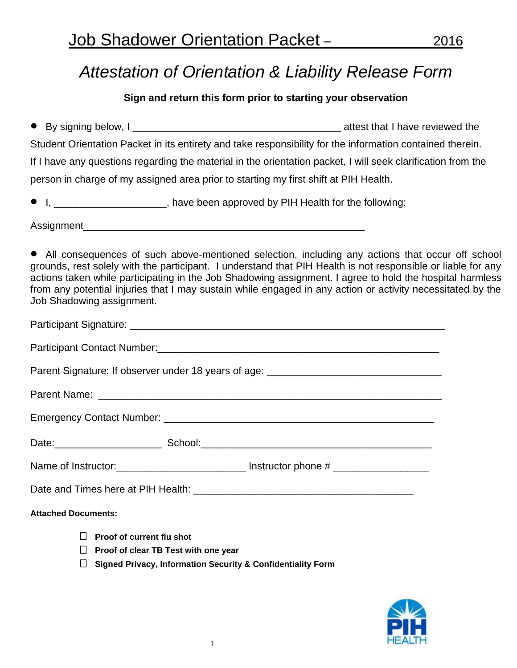# *Attestation of Orientation & Liability Release Form*

### **Sign and return this form prior to starting your observation**

By signing below, I contract that I have reviewed the Student Orientation Packet in its entirety and take responsibility for the information contained therein. If I have any questions regarding the material in the orientation packet, I will seek clarification from the person in charge of my assigned area prior to starting my first shift at PIH Health.

I, \_\_\_\_\_\_\_\_\_\_\_\_\_\_\_\_\_\_\_\_, have been approved by PIH Health for the following:

Assignment\_\_\_\_\_\_\_\_\_\_\_\_\_\_\_\_\_\_\_\_\_\_\_\_\_\_\_\_\_\_\_\_\_\_\_\_\_\_\_\_\_\_\_\_\_\_\_\_\_\_

 All consequences of such above-mentioned selection, including any actions that occur off school grounds, rest solely with the participant. I understand that PIH Health is not responsible or liable for any actions taken while participating in the Job Shadowing assignment. I agree to hold the hospital harmless from any potential injuries that I may sustain while engaged in any action or activity necessitated by the Job Shadowing assignment.

| Parent Signature: If observer under 18 years of age: ____________________________                                                                                   |                                                                                                      |
|---------------------------------------------------------------------------------------------------------------------------------------------------------------------|------------------------------------------------------------------------------------------------------|
|                                                                                                                                                                     |                                                                                                      |
|                                                                                                                                                                     |                                                                                                      |
|                                                                                                                                                                     |                                                                                                      |
|                                                                                                                                                                     | Name of Instructor: ________________________________ Instructor phone # ____________________________ |
|                                                                                                                                                                     |                                                                                                      |
| <b>Attached Documents:</b>                                                                                                                                          |                                                                                                      |
| $\Box$ Proof of current flu shot<br>$\Box$ Proof of clear TB Test with one year<br><b>Signed Privacy, Information Security &amp; Confidentiality Form</b><br>$\Box$ |                                                                                                      |

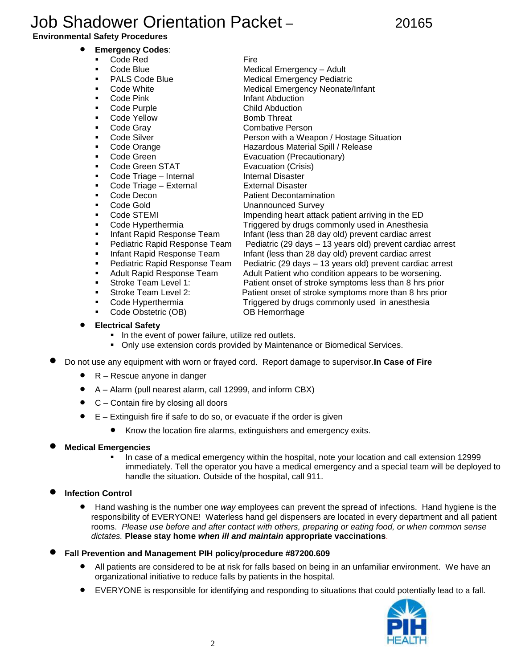# Job Shadower Orientation Packet –20165

#### **Environmental Safety Procedures**

- **Emergency Codes**:
	- Code Red Fire
	- Code Blue **Medical Emergency Adult**
	- PALS Code Blue Medical Emergency Pediatric
	- Code White Medical Emergency Neonate/Infant
	- Code Pink **Infant Abduction**
	- Code Purple Child Abduction
	- Code Yellow Bomb Threat
	- Code Gray Combative Person
	- Code Silver **Person with a Weapon / Hostage Situation**
	- **Code Orange The Code Orange Hazardous Material Spill / Release**
	-
	- Code Green STAT Evacuation (Crisis)
	- Code Triage Internal Internal Disaster
	- Code Triage External External Disaster
	-
	-
	-
	-
	-
	-
	-
	-
	-
	-
	-
	-
	- Code Obstetric (OB) OB Hemorrhage
	- **Electrical Safety**
		- **IF In the event of power failure, utilize red outlets.**
		- Only use extension cords provided by Maintenance or Biomedical Services.
- Do not use any equipment with worn or frayed cord. Report damage to supervisor.**In Case of Fire**
	- R Rescue anyone in danger
	- A Alarm (pull nearest alarm, call 12999, and inform CBX)
	- C Contain fire by closing all doors
	- E Extinguish fire if safe to do so, or evacuate if the order is given
		- Know the location fire alarms, extinguishers and emergency exits.
- **Medical Emergencies**
	- In case of a medical emergency within the hospital, note your location and call extension 12999 immediately. Tell the operator you have a medical emergency and a special team will be deployed to handle the situation. Outside of the hospital, call 911.

### **Infection Control**

- Hand washing is the number one *way* employees can prevent the spread of infections. Hand hygiene is the responsibility of EVERYONE! Waterless hand gel dispensers are located in every department and all patient rooms. *Please use before and after contact with others, preparing or eating food, or when common sense dictates.* **Please stay home** *when ill and maintain* **appropriate vaccinations**.
- **Fall Prevention and Management PIH policy/procedure #87200.609**
	- All patients are considered to be at risk for falls based on being in an unfamiliar environment. We have an organizational initiative to reduce falls by patients in the hospital.
	- EVERYONE is responsible for identifying and responding to situations that could potentially lead to a fall.



**Code Green** Evacuation (Precautionary) Code Decon **Patient Decontamination** Code Gold **Unannounced Survey Code STEMI Impending heart attack patient arriving in the ED**  Code Hyperthermia Triggered by drugs commonly used in Anesthesia Infant Rapid Response Team Infant (less than 28 day old) prevent cardiac arrest Pediatric Rapid Response Team Pediatric (29 days – 13 years old) prevent cardiac arrest Infant Rapid Response Team Infant (less than 28 day old) prevent cardiac arrest Pediatric Rapid Response Team Pediatric (29 days – 13 years old) prevent cardiac arrest Adult Rapid Response Team Adult Patient who condition appears to be worsening. Stroke Team Level 1: Patient onset of stroke symptoms less than 8 hrs prior Stroke Team Level 2: Patient onset of stroke symptoms more than 8 hrs prior Code Hyperthermia Triggered by drugs commonly used in anesthesia